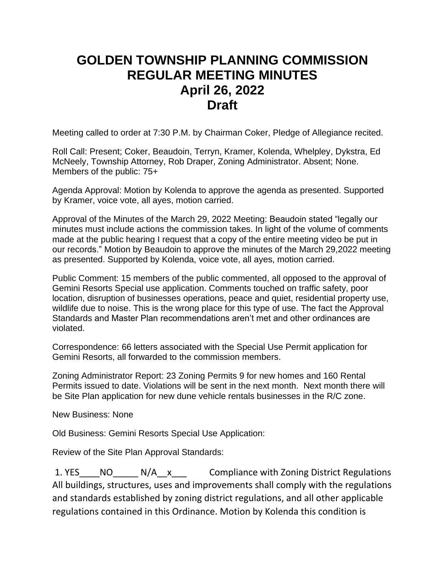## **GOLDEN TOWNSHIP PLANNING COMMISSION REGULAR MEETING MINUTES April 26, 2022 Draft**

Meeting called to order at 7:30 P.M. by Chairman Coker, Pledge of Allegiance recited.

Roll Call: Present; Coker, Beaudoin, Terryn, Kramer, Kolenda, Whelpley, Dykstra, Ed McNeely, Township Attorney, Rob Draper, Zoning Administrator. Absent; None. Members of the public: 75+

Agenda Approval: Motion by Kolenda to approve the agenda as presented. Supported by Kramer, voice vote, all ayes, motion carried.

Approval of the Minutes of the March 29, 2022 Meeting: Beaudoin stated "legally our minutes must include actions the commission takes. In light of the volume of comments made at the public hearing I request that a copy of the entire meeting video be put in our records." Motion by Beaudoin to approve the minutes of the March 29,2022 meeting as presented. Supported by Kolenda, voice vote, all ayes, motion carried.

Public Comment: 15 members of the public commented, all opposed to the approval of Gemini Resorts Special use application. Comments touched on traffic safety, poor location, disruption of businesses operations, peace and quiet, residential property use, wildlife due to noise. This is the wrong place for this type of use. The fact the Approval Standards and Master Plan recommendations aren't met and other ordinances are violated.

Correspondence: 66 letters associated with the Special Use Permit application for Gemini Resorts, all forwarded to the commission members.

Zoning Administrator Report: 23 Zoning Permits 9 for new homes and 160 Rental Permits issued to date. Violations will be sent in the next month. Next month there will be Site Plan application for new dune vehicle rentals businesses in the R/C zone.

New Business: None

Old Business: Gemini Resorts Special Use Application:

Review of the Site Plan Approval Standards:

1. YES NO N/A x Compliance with Zoning District Regulations All buildings, structures, uses and improvements shall comply with the regulations and standards established by zoning district regulations, and all other applicable regulations contained in this Ordinance. Motion by Kolenda this condition is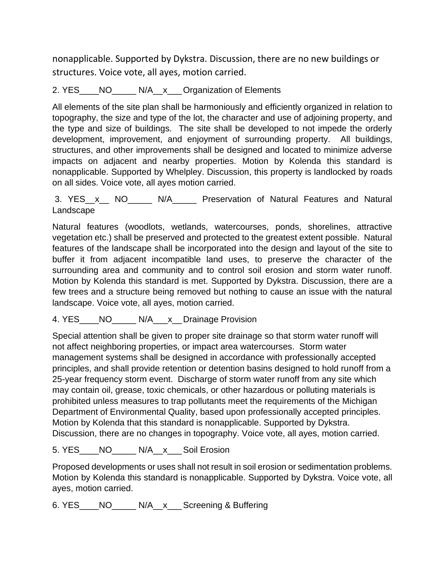nonapplicable. Supported by Dykstra. Discussion, there are no new buildings or structures. Voice vote, all ayes, motion carried.

## 2. YES NO\_\_\_\_\_N/A\_\_x\_\_Organization of Elements

All elements of the site plan shall be harmoniously and efficiently organized in relation to topography, the size and type of the lot, the character and use of adjoining property, and the type and size of buildings. The site shall be developed to not impede the orderly development, improvement, and enjoyment of surrounding property. All buildings, structures, and other improvements shall be designed and located to minimize adverse impacts on adjacent and nearby properties. Motion by Kolenda this standard is nonapplicable. Supported by Whelpley. Discussion, this property is landlocked by roads on all sides. Voice vote, all ayes motion carried.

3. YES\_\_x\_\_ NO\_\_\_\_\_ N/A\_\_\_\_\_ Preservation of Natural Features and Natural Landscape

Natural features (woodlots, wetlands, watercourses, ponds, shorelines, attractive vegetation etc.) shall be preserved and protected to the greatest extent possible. Natural features of the landscape shall be incorporated into the design and layout of the site to buffer it from adjacent incompatible land uses, to preserve the character of the surrounding area and community and to control soil erosion and storm water runoff. Motion by Kolenda this standard is met. Supported by Dykstra. Discussion, there are a few trees and a structure being removed but nothing to cause an issue with the natural landscape. Voice vote, all ayes, motion carried.

## 4. YES\_\_\_\_NO\_\_\_\_\_ N/A\_\_\_x\_\_Drainage Provision

Special attention shall be given to proper site drainage so that storm water runoff will not affect neighboring properties, or impact area watercourses. Storm water management systems shall be designed in accordance with professionally accepted principles, and shall provide retention or detention basins designed to hold runoff from a 25-year frequency storm event. Discharge of storm water runoff from any site which may contain oil, grease, toxic chemicals, or other hazardous or polluting materials is prohibited unless measures to trap pollutants meet the requirements of the Michigan Department of Environmental Quality, based upon professionally accepted principles. Motion by Kolenda that this standard is nonapplicable. Supported by Dykstra. Discussion, there are no changes in topography. Voice vote, all ayes, motion carried.

## 5. YES NO N/A<sub>X</sub> Soil Erosion

Proposed developments or uses shall not result in soil erosion or sedimentation problems. Motion by Kolenda this standard is nonapplicable. Supported by Dykstra. Voice vote, all ayes, motion carried.

6. YES\_\_\_\_NO\_\_\_\_\_ N/A\_\_x\_\_\_Screening & Buffering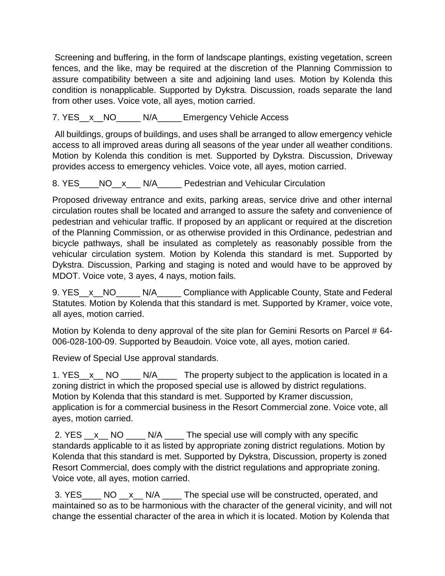Screening and buffering, in the form of landscape plantings, existing vegetation, screen fences, and the like, may be required at the discretion of the Planning Commission to assure compatibility between a site and adjoining land uses. Motion by Kolenda this condition is nonapplicable. Supported by Dykstra. Discussion, roads separate the land from other uses. Voice vote, all ayes, motion carried.

7. YES x NO\_\_\_\_\_N/A\_\_\_\_\_Emergency Vehicle Access

All buildings, groups of buildings, and uses shall be arranged to allow emergency vehicle access to all improved areas during all seasons of the year under all weather conditions. Motion by Kolenda this condition is met. Supported by Dykstra. Discussion, Driveway provides access to emergency vehicles. Voice vote, all ayes, motion carried.

8. YES\_\_\_\_NO\_\_x\_\_\_N/A\_\_\_\_\_ Pedestrian and Vehicular Circulation

Proposed driveway entrance and exits, parking areas, service drive and other internal circulation routes shall be located and arranged to assure the safety and convenience of pedestrian and vehicular traffic. If proposed by an applicant or required at the discretion of the Planning Commission, or as otherwise provided in this Ordinance, pedestrian and bicycle pathways, shall be insulated as completely as reasonably possible from the vehicular circulation system. Motion by Kolenda this standard is met. Supported by Dykstra. Discussion, Parking and staging is noted and would have to be approved by MDOT. Voice vote, 3 ayes, 4 nays, motion fails.

9. YES\_\_x\_\_NO\_\_\_\_\_ N/A\_\_\_\_\_ Compliance with Applicable County, State and Federal Statutes. Motion by Kolenda that this standard is met. Supported by Kramer, voice vote, all ayes, motion carried.

Motion by Kolenda to deny approval of the site plan for Gemini Resorts on Parcel # 64-006-028-100-09. Supported by Beaudoin. Voice vote, all ayes, motion caried.

Review of Special Use approval standards.

1. YES\_x\_ NO \_\_\_\_ N/A\_\_\_\_ The property subject to the application is located in a zoning district in which the proposed special use is allowed by district regulations. Motion by Kolenda that this standard is met. Supported by Kramer discussion, application is for a commercial business in the Resort Commercial zone. Voice vote, all ayes, motion carried.

2. YES \_\_x \_\_ NO \_\_\_\_ N/A \_\_\_\_ The special use will comply with any specific standards applicable to it as listed by appropriate zoning district regulations. Motion by Kolenda that this standard is met. Supported by Dykstra, Discussion, property is zoned Resort Commercial, does comply with the district regulations and appropriate zoning. Voice vote, all ayes, motion carried.

3. YES\_\_\_\_ NO \_\_x\_\_ N/A \_\_\_\_ The special use will be constructed, operated, and maintained so as to be harmonious with the character of the general vicinity, and will not change the essential character of the area in which it is located. Motion by Kolenda that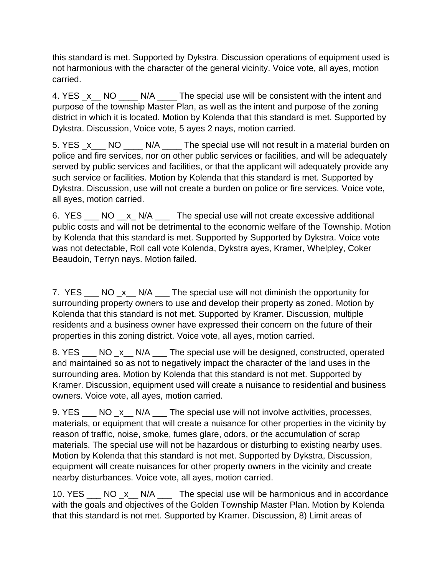this standard is met. Supported by Dykstra. Discussion operations of equipment used is not harmonious with the character of the general vicinity. Voice vote, all ayes, motion carried.

4. YES \_x\_\_ NO \_\_\_\_ N/A \_\_\_\_ The special use will be consistent with the intent and purpose of the township Master Plan, as well as the intent and purpose of the zoning district in which it is located. Motion by Kolenda that this standard is met. Supported by Dykstra. Discussion, Voice vote, 5 ayes 2 nays, motion carried.

5. YES x NO N/A The special use will not result in a material burden on police and fire services, nor on other public services or facilities, and will be adequately served by public services and facilities, or that the applicant will adequately provide any such service or facilities. Motion by Kolenda that this standard is met. Supported by Dykstra. Discussion, use will not create a burden on police or fire services. Voice vote, all ayes, motion carried.

6. YES \_\_\_ NO \_\_x\_ N/A \_\_\_ The special use will not create excessive additional public costs and will not be detrimental to the economic welfare of the Township. Motion by Kolenda that this standard is met. Supported by Supported by Dykstra. Voice vote was not detectable, Roll call vote Kolenda, Dykstra ayes, Kramer, Whelpley, Coker Beaudoin, Terryn nays. Motion failed.

7. YES \_\_\_ NO \_x \_\_ N/A \_\_\_ The special use will not diminish the opportunity for surrounding property owners to use and develop their property as zoned. Motion by Kolenda that this standard is not met. Supported by Kramer. Discussion, multiple residents and a business owner have expressed their concern on the future of their properties in this zoning district. Voice vote, all ayes, motion carried.

8. YES \_\_\_ NO \_x \_\_ N/A \_\_\_ The special use will be designed, constructed, operated and maintained so as not to negatively impact the character of the land uses in the surrounding area. Motion by Kolenda that this standard is not met. Supported by Kramer. Discussion, equipment used will create a nuisance to residential and business owners. Voice vote, all ayes, motion carried.

9. YES \_\_\_ NO \_x \_\_ N/A \_\_\_ The special use will not involve activities, processes, materials, or equipment that will create a nuisance for other properties in the vicinity by reason of traffic, noise, smoke, fumes glare, odors, or the accumulation of scrap materials. The special use will not be hazardous or disturbing to existing nearby uses. Motion by Kolenda that this standard is not met. Supported by Dykstra, Discussion, equipment will create nuisances for other property owners in the vicinity and create nearby disturbances. Voice vote, all ayes, motion carried.

10. YES \_\_\_ NO \_x\_\_ N/A \_\_\_ The special use will be harmonious and in accordance with the goals and objectives of the Golden Township Master Plan. Motion by Kolenda that this standard is not met. Supported by Kramer. Discussion, 8) Limit areas of